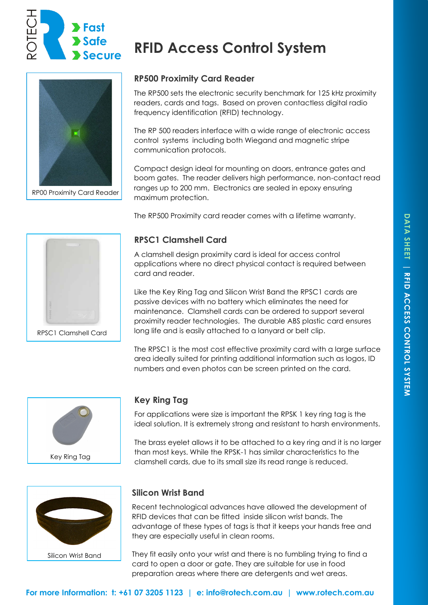

RP00 Proximity Card Reader

# **RP500 Proximity Card Reader**

**RFID Access Control System**

The RP500 sets the electronic security benchmark for 125 kHz proximity readers, cards and tags. Based on proven contactless digital radio frequency identification (RFID) technology.

The RP 500 readers interface with a wide range of electronic access control systems including both Wiegand and magnetic stripe communication protocols.

Compact design ideal for mounting on doors, entrance gates and boom gates. The reader delivers high performance, non-contact read ranges up to 200 mm. Electronics are sealed in epoxy ensuring maximum protection.

The RP500 Proximity card reader comes with a lifetime warranty.

# RPSC1 Clamshell Card

### **RPSC1 Clamshell Card**

A clamshell design proximity card is ideal for access control applications where no direct physical contact is required between card and reader.

Like the Key Ring Tag and Silicon Wrist Band the RPSC1 cards are passive devices with no battery which eliminates the need for maintenance. Clamshell cards can be ordered to support several proximity reader technologies. The durable ABS plastic card ensures long life and is easily attached to a lanyard or belt clip.

The RPSC1 is the most cost effective proximity card with a large surface area ideally suited for printing additional information such as logos, ID numbers and even photos can be screen printed on the card.



## **Key Ring Tag**

For applications were size is important the RPSK 1 key ring tag is the ideal solution. It is extremely strong and resistant to harsh environments.

The brass eyelet allows it to be attached to a key ring and it is no larger than most keys. While the RPSK-1 has similar characteristics to the clamshell cards, due to its small size its read range is reduced.



### **Silicon Wrist Band**

Recent technological advances have allowed the development of RFID devices that can be fitted inside silicon wrist bands. The advantage of these types of tags is that it keeps your hands free and they are especially useful in clean rooms.

They fit easily onto your wrist and there is no fumbling trying to find a card to open a door or gate. They are suitable for use in food preparation areas where there are detergents and wet areas.